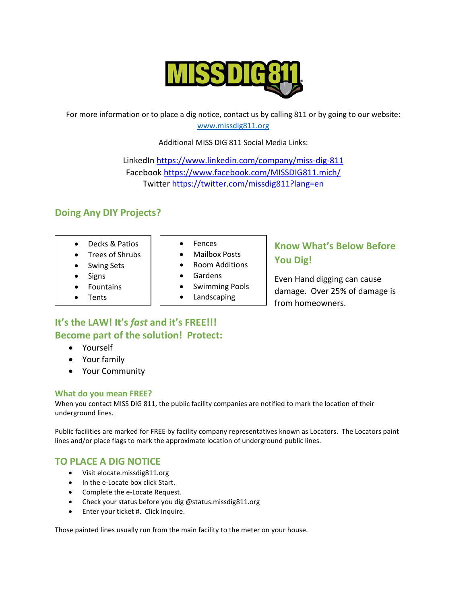

For more information or to place a dig notice, contact us by calling 811 or by going to our website: [www.missdig811.org](http://www.missdig811.org/) 

Additional MISS DIG 811 Social Media Links:

LinkedIn <https://www.linkedin.com/company/miss-dig-811> Facebook <https://www.facebook.com/MISSDIG811.mich/> Twitter <https://twitter.com/missdig811?lang=en>

# **Doing Any DIY Projects?**

- Decks & Patios
- Trees of Shrubs
- Swing Sets
- **Signs**
- **Fountains**
- **Tents**
- Fences
- Mailbox Posts
- Room Additions
- Gardens
- Swimming Pools
- Landscaping

# **It's the LAW! It's** *fast* **and it's FREE!!! Become part of the solution! Protect:**

- Yourself
- Your family
- Your Community

#### **What do you mean FREE?**

When you contact MISS DIG 811, the public facility companies are notified to mark the location of their underground lines.

Public facilities are marked for FREE by facility company representatives known as Locators. The Locators paint lines and/or place flags to mark the approximate location of underground public lines.

# **TO PLACE A DIG NOTICE**

- Visit elocate.missdig811.org
- In the e-Locate box click Start.
- Complete the e-Locate Request.
- Check your status before you dig @status.missdig811.org
- Enter your ticket #. Click Inquire.

Those painted lines usually run from the main facility to the meter on your house.

# **Know What's Below Before You Dig!**

Even Hand digging can cause damage. Over 25% of damage is from homeowners.